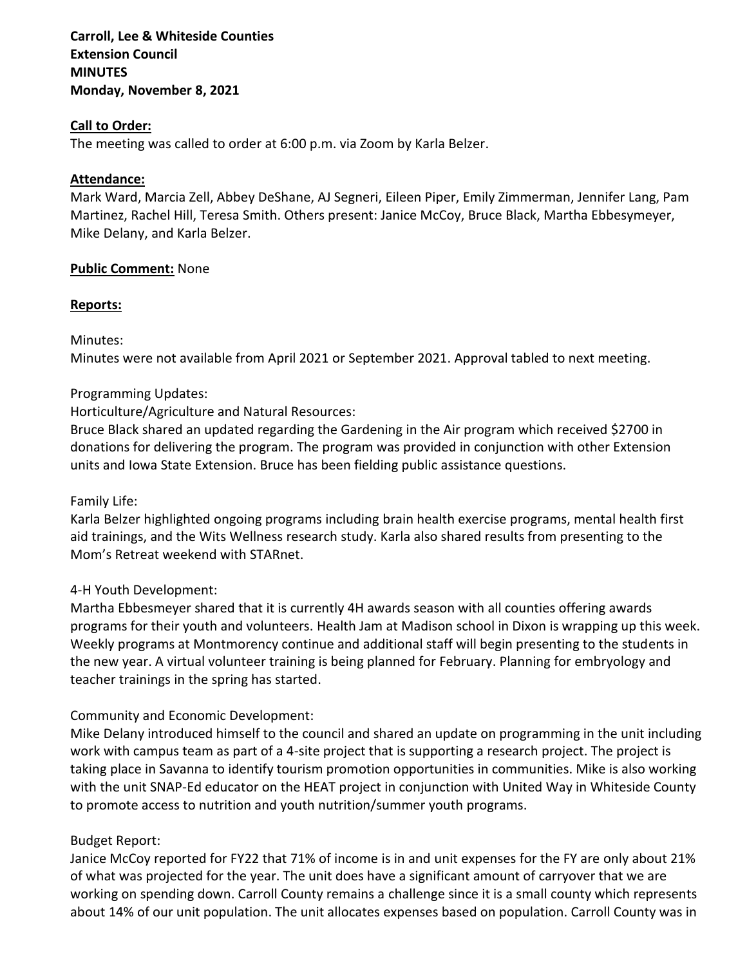**Carroll, Lee & Whiteside Counties Extension Council MINUTES Monday, November 8, 2021**

### **Call to Order:**

The meeting was called to order at 6:00 p.m. via Zoom by Karla Belzer.

### **Attendance:**

Mark Ward, Marcia Zell, Abbey DeShane, AJ Segneri, Eileen Piper, Emily Zimmerman, Jennifer Lang, Pam Martinez, Rachel Hill, Teresa Smith. Others present: Janice McCoy, Bruce Black, Martha Ebbesymeyer, Mike Delany, and Karla Belzer.

### **Public Comment:** None

### **Reports:**

Minutes:

Minutes were not available from April 2021 or September 2021. Approval tabled to next meeting.

### Programming Updates:

### Horticulture/Agriculture and Natural Resources:

Bruce Black shared an updated regarding the Gardening in the Air program which received \$2700 in donations for delivering the program. The program was provided in conjunction with other Extension units and Iowa State Extension. Bruce has been fielding public assistance questions.

Family Life:

Karla Belzer highlighted ongoing programs including brain health exercise programs, mental health first aid trainings, and the Wits Wellness research study. Karla also shared results from presenting to the Mom's Retreat weekend with STARnet.

### 4-H Youth Development:

Martha Ebbesmeyer shared that it is currently 4H awards season with all counties offering awards programs for their youth and volunteers. Health Jam at Madison school in Dixon is wrapping up this week. Weekly programs at Montmorency continue and additional staff will begin presenting to the students in the new year. A virtual volunteer training is being planned for February. Planning for embryology and teacher trainings in the spring has started.

### Community and Economic Development:

Mike Delany introduced himself to the council and shared an update on programming in the unit including work with campus team as part of a 4-site project that is supporting a research project. The project is taking place in Savanna to identify tourism promotion opportunities in communities. Mike is also working with the unit SNAP-Ed educator on the HEAT project in conjunction with United Way in Whiteside County to promote access to nutrition and youth nutrition/summer youth programs.

### Budget Report:

Janice McCoy reported for FY22 that 71% of income is in and unit expenses for the FY are only about 21% of what was projected for the year. The unit does have a significant amount of carryover that we are working on spending down. Carroll County remains a challenge since it is a small county which represents about 14% of our unit population. The unit allocates expenses based on population. Carroll County was in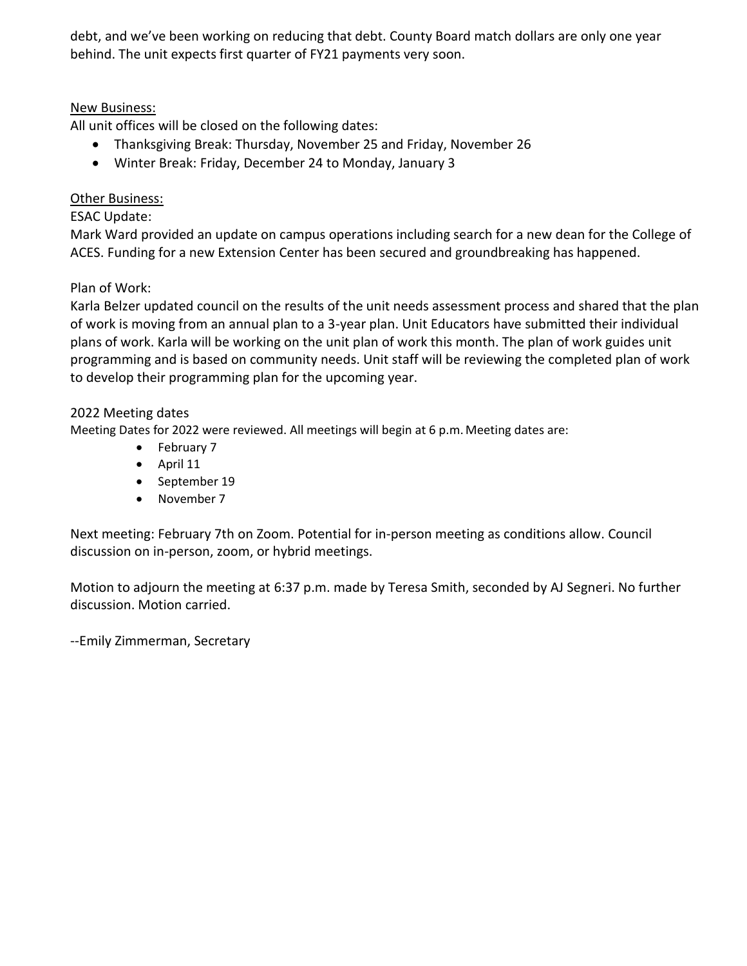debt, and we've been working on reducing that debt. County Board match dollars are only one year behind. The unit expects first quarter of FY21 payments very soon.

# New Business:

All unit offices will be closed on the following dates:

- Thanksgiving Break: Thursday, November 25 and Friday, November 26
- Winter Break: Friday, December 24 to Monday, January 3

# Other Business:

## ESAC Update:

Mark Ward provided an update on campus operations including search for a new dean for the College of ACES. Funding for a new Extension Center has been secured and groundbreaking has happened.

# Plan of Work:

Karla Belzer updated council on the results of the unit needs assessment process and shared that the plan of work is moving from an annual plan to a 3-year plan. Unit Educators have submitted their individual plans of work. Karla will be working on the unit plan of work this month. The plan of work guides unit programming and is based on community needs. Unit staff will be reviewing the completed plan of work to develop their programming plan for the upcoming year.

### 2022 Meeting dates

Meeting Dates for 2022 were reviewed. All meetings will begin at 6 p.m.Meeting dates are:

- February 7
- April 11
- September 19
- November 7

Next meeting: February 7th on Zoom. Potential for in-person meeting as conditions allow. Council discussion on in-person, zoom, or hybrid meetings.

Motion to adjourn the meeting at 6:37 p.m. made by Teresa Smith, seconded by AJ Segneri. No further discussion. Motion carried.

--Emily Zimmerman, Secretary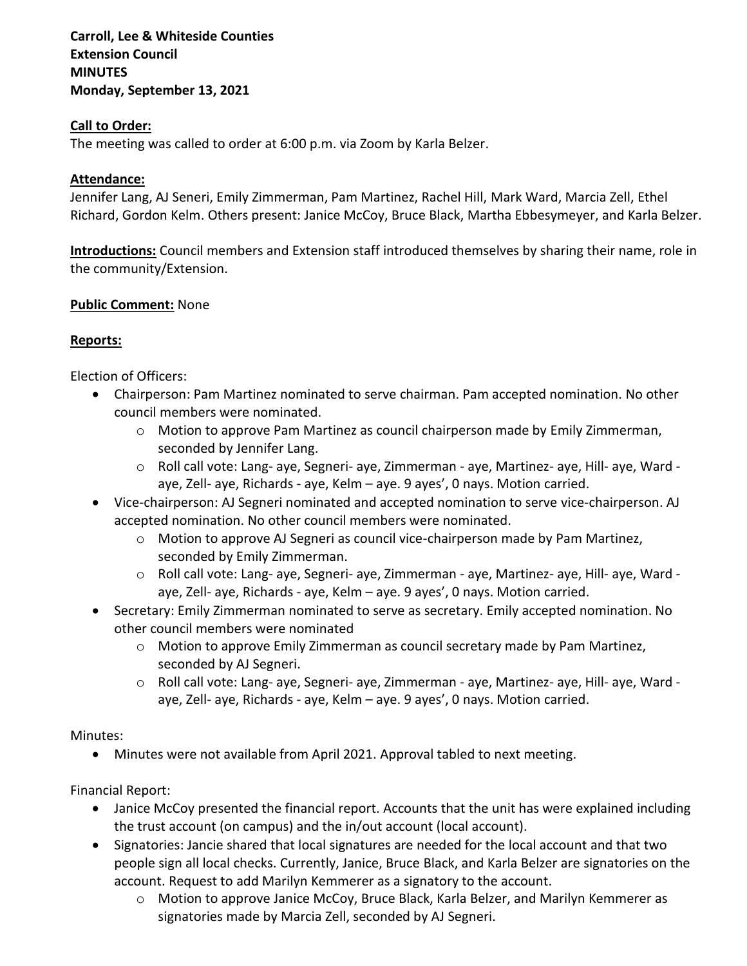# **Carroll, Lee & Whiteside Counties Extension Council MINUTES Monday, September 13, 2021**

### **Call to Order:**

The meeting was called to order at 6:00 p.m. via Zoom by Karla Belzer.

## **Attendance:**

Jennifer Lang, AJ Seneri, Emily Zimmerman, Pam Martinez, Rachel Hill, Mark Ward, Marcia Zell, Ethel Richard, Gordon Kelm. Others present: Janice McCoy, Bruce Black, Martha Ebbesymeyer, and Karla Belzer.

**Introductions:** Council members and Extension staff introduced themselves by sharing their name, role in the community/Extension.

## **Public Comment:** None

## **Reports:**

Election of Officers:

- Chairperson: Pam Martinez nominated to serve chairman. Pam accepted nomination. No other council members were nominated.
	- o Motion to approve Pam Martinez as council chairperson made by Emily Zimmerman, seconded by Jennifer Lang.
	- o Roll call vote: Lang- aye, Segneri- aye, Zimmerman aye, Martinez- aye, Hill- aye, Ward aye, Zell- aye, Richards - aye, Kelm – aye. 9 ayes', 0 nays. Motion carried.
- Vice-chairperson: AJ Segneri nominated and accepted nomination to serve vice-chairperson. AJ accepted nomination. No other council members were nominated.
	- $\circ$  Motion to approve AJ Segneri as council vice-chairperson made by Pam Martinez, seconded by Emily Zimmerman.
	- o Roll call vote: Lang- aye, Segneri- aye, Zimmerman aye, Martinez- aye, Hill- aye, Ward aye, Zell- aye, Richards - aye, Kelm – aye. 9 ayes', 0 nays. Motion carried.
- Secretary: Emily Zimmerman nominated to serve as secretary. Emily accepted nomination. No other council members were nominated
	- o Motion to approve Emily Zimmerman as council secretary made by Pam Martinez, seconded by AJ Segneri.
	- o Roll call vote: Lang- aye, Segneri- aye, Zimmerman aye, Martinez- aye, Hill- aye, Ward aye, Zell- aye, Richards - aye, Kelm – aye. 9 ayes', 0 nays. Motion carried.

### Minutes:

• Minutes were not available from April 2021. Approval tabled to next meeting.

Financial Report:

- Janice McCoy presented the financial report. Accounts that the unit has were explained including the trust account (on campus) and the in/out account (local account).
- Signatories: Jancie shared that local signatures are needed for the local account and that two people sign all local checks. Currently, Janice, Bruce Black, and Karla Belzer are signatories on the account. Request to add Marilyn Kemmerer as a signatory to the account.
	- o Motion to approve Janice McCoy, Bruce Black, Karla Belzer, and Marilyn Kemmerer as signatories made by Marcia Zell, seconded by AJ Segneri.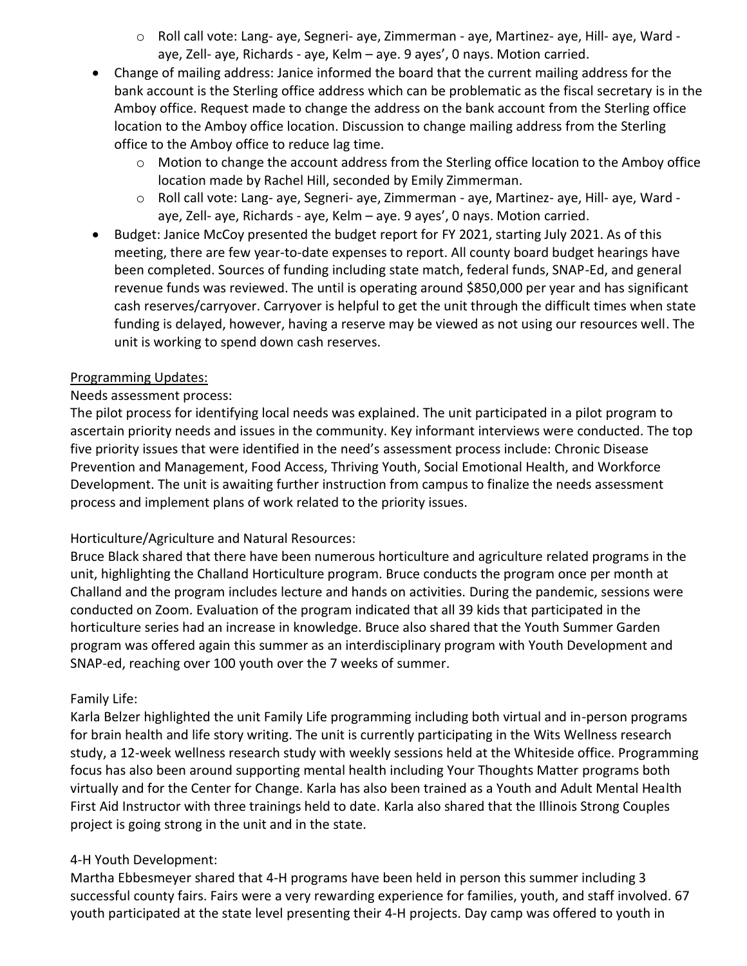- o Roll call vote: Lang- aye, Segneri- aye, Zimmerman aye, Martinez- aye, Hill- aye, Ward aye, Zell- aye, Richards - aye, Kelm – aye. 9 ayes', 0 nays. Motion carried.
- Change of mailing address: Janice informed the board that the current mailing address for the bank account is the Sterling office address which can be problematic as the fiscal secretary is in the Amboy office. Request made to change the address on the bank account from the Sterling office location to the Amboy office location. Discussion to change mailing address from the Sterling office to the Amboy office to reduce lag time.
	- $\circ$  Motion to change the account address from the Sterling office location to the Amboy office location made by Rachel Hill, seconded by Emily Zimmerman.
	- o Roll call vote: Lang- aye, Segneri- aye, Zimmerman aye, Martinez- aye, Hill- aye, Ward aye, Zell- aye, Richards - aye, Kelm – aye. 9 ayes', 0 nays. Motion carried.
- Budget: Janice McCoy presented the budget report for FY 2021, starting July 2021. As of this meeting, there are few year-to-date expenses to report. All county board budget hearings have been completed. Sources of funding including state match, federal funds, SNAP-Ed, and general revenue funds was reviewed. The until is operating around \$850,000 per year and has significant cash reserves/carryover. Carryover is helpful to get the unit through the difficult times when state funding is delayed, however, having a reserve may be viewed as not using our resources well. The unit is working to spend down cash reserves.

## Programming Updates:

## Needs assessment process:

The pilot process for identifying local needs was explained. The unit participated in a pilot program to ascertain priority needs and issues in the community. Key informant interviews were conducted. The top five priority issues that were identified in the need's assessment process include: Chronic Disease Prevention and Management, Food Access, Thriving Youth, Social Emotional Health, and Workforce Development. The unit is awaiting further instruction from campus to finalize the needs assessment process and implement plans of work related to the priority issues.

# Horticulture/Agriculture and Natural Resources:

Bruce Black shared that there have been numerous horticulture and agriculture related programs in the unit, highlighting the Challand Horticulture program. Bruce conducts the program once per month at Challand and the program includes lecture and hands on activities. During the pandemic, sessions were conducted on Zoom. Evaluation of the program indicated that all 39 kids that participated in the horticulture series had an increase in knowledge. Bruce also shared that the Youth Summer Garden program was offered again this summer as an interdisciplinary program with Youth Development and SNAP-ed, reaching over 100 youth over the 7 weeks of summer.

# Family Life:

Karla Belzer highlighted the unit Family Life programming including both virtual and in-person programs for brain health and life story writing. The unit is currently participating in the Wits Wellness research study, a 12-week wellness research study with weekly sessions held at the Whiteside office. Programming focus has also been around supporting mental health including Your Thoughts Matter programs both virtually and for the Center for Change. Karla has also been trained as a Youth and Adult Mental Health First Aid Instructor with three trainings held to date. Karla also shared that the Illinois Strong Couples project is going strong in the unit and in the state.

### 4-H Youth Development:

Martha Ebbesmeyer shared that 4-H programs have been held in person this summer including 3 successful county fairs. Fairs were a very rewarding experience for families, youth, and staff involved. 67 youth participated at the state level presenting their 4-H projects. Day camp was offered to youth in